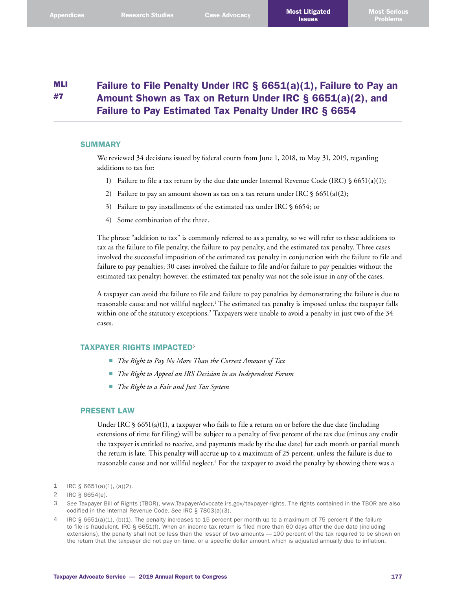#### MLI #7 Failure to File Penalty Under IRC § 6651(a)(1), Failure to Pay an Amount Shown as Tax on Return Under IRC § 6651(a)(2), and Failure to Pay Estimated Tax Penalty Under IRC § 6654

# **SUMMARY**

We reviewed 34 decisions issued by federal courts from June 1, 2018, to May 31, 2019, regarding additions to tax for:

- 1) Failure to file a tax return by the due date under Internal Revenue Code (IRC)  $\frac{1}{5}$  6651(a)(1);
- 2) Failure to pay an amount shown as tax on a tax return under IRC  $\S$  6651(a)(2);
- 3) Failure to pay installments of the estimated tax under IRC § 6654; or
- 4) Some combination of the three.

The phrase "addition to tax" is commonly referred to as a penalty, so we will refer to these additions to tax as the failure to file penalty, the failure to pay penalty, and the estimated tax penalty. Three cases involved the successful imposition of the estimated tax penalty in conjunction with the failure to file and failure to pay penalties; 30 cases involved the failure to file and/or failure to pay penalties without the estimated tax penalty; however, the estimated tax penalty was not the sole issue in any of the cases.

A taxpayer can avoid the failure to file and failure to pay penalties by demonstrating the failure is due to reasonable cause and not willful neglect. 1 The estimated tax penalty is imposed unless the taxpayer falls within one of the statutory exceptions. 2 Taxpayers were unable to avoid a penalty in just two of the 34 cases.

## TAXPAYER RIGHTS IMPACTED<sup>3</sup>

- *The Right to Pay No More Than the Correct Amount of Tax*
- *The Right to Appeal an IRS Decision in an Independent Forum*
- *The Right to a Fair and Just Tax System*

## PRESENT LAW

Under IRC  $\S$  6651(a)(1), a taxpayer who fails to file a return on or before the due date (including extensions of time for filing) will be subject to a penalty of five percent of the tax due (minus any credit the taxpayer is entitled to receive, and payments made by the due date) for each month or partial month the return is late. This penalty will accrue up to a maximum of 25 percent, unless the failure is due to reasonable cause and not willful neglect. 4 For the taxpayer to avoid the penalty by showing there was a

<sup>1</sup> IRC  $\S$  6651(a)(1), (a)(2).

<sup>2</sup> IRC § 6654(e).

<sup>3</sup> *See* Taxpayer Bill of Rights (TBOR), [www.TaxpayerAdvocate.irs.gov/taxpayer-rights](http://www.TaxpayerAdvocate.irs.gov/taxpayer-rights). The rights contained in the TBOR are also codified in the Internal Revenue Code. *See* IRC § 7803(a)(3).

<sup>4</sup> IRC § 6651(a)(1), (b)(1). The penalty increases to 15 percent per month up to a maximum of 75 percent if the failure to file is fraudulent. IRC § 6651(f). When an income tax return is filed more than 60 days after the due date (including extensions), the penalty shall not be less than the lesser of two amounts — 100 percent of the tax required to be shown on the return that the taxpayer did not pay on time, or a specific dollar amount which is adjusted annually due to inflation.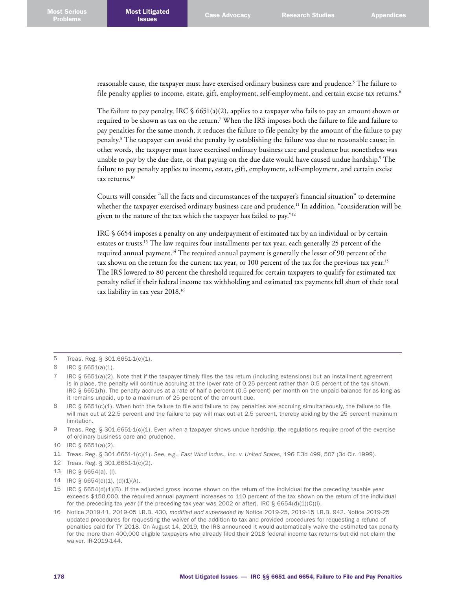reasonable cause, the taxpayer must have exercised ordinary business care and prudence. 5 The failure to file penalty applies to income, estate, gift, employment, self-employment, and certain excise tax returns. 6

The failure to pay penalty, IRC  $\frac{1}{5}$  6651(a)(2), applies to a taxpayer who fails to pay an amount shown or required to be shown as tax on the return.<sup>7</sup> When the IRS imposes both the failure to file and failure to pay penalties for the same month, it reduces the failure to file penalty by the amount of the failure to pay penalty. 8 The taxpayer can avoid the penalty by establishing the failure was due to reasonable cause; in other words, the taxpayer must have exercised ordinary business care and prudence but nonetheless was unable to pay by the due date, or that paying on the due date would have caused undue hardship. 9 The failure to pay penalty applies to income, estate, gift, employment, self-employment, and certain excise tax returns. 10

Courts will consider "all the facts and circumstances of the taxpayer's financial situation" to determine whether the taxpayer exercised ordinary business care and prudence. 11 In addition, "consideration will be given to the nature of the tax which the taxpayer has failed to pay."<sup>12</sup>

IRC § 6654 imposes a penalty on any underpayment of estimated tax by an individual or by certain estates or trusts.<sup>13</sup> The law requires four installments per tax year, each generally 25 percent of the required annual payment.<sup>14</sup> The required annual payment is generally the lesser of 90 percent of the tax shown on the return for the current tax year, or 100 percent of the tax for the previous tax year.<sup>15</sup> The IRS lowered to 80 percent the threshold required for certain taxpayers to qualify for estimated tax penalty relief if their federal income tax withholding and estimated tax payments fell short of their total tax liability in tax year 2018. 16

7 IRC § 6651(a)(2). Note that if the taxpayer timely files the tax return (including extensions) but an installment agreement is in place, the penalty will continue accruing at the lower rate of 0.25 percent rather than 0.5 percent of the tax shown. IRC § 6651(h). The penalty accrues at a rate of half a percent (0.5 percent) per month on the unpaid balance for as long as it remains unpaid, up to a maximum of 25 percent of the amount due.

- 14 IRC § 6654(c)(1), (d)(1)(A).
- 15 IRC  $\S$  6654(d)(1)(B). If the adjusted gross income shown on the return of the individual for the preceding taxable year exceeds \$150,000, the required annual payment increases to 110 percent of the tax shown on the return of the individual for the preceding tax year (if the preceding tax year was 2002 or after). IRC § 6654(d)(1)(C)(i).
- 16 Notice 2019-11, 2019-05 I.R.B. 430, *modified and superseded by* Notice 2019-25, 2019-15 I.R.B. 942. Notice 2019-25 updated procedures for requesting the waiver of the addition to tax and provided procedures for requesting a refund of penalties paid for TY 2018. On August 14, 2019, the IRS announced it would automatically waive the estimated tax penalty for the more than 400,000 eligible taxpayers who already filed their 2018 federal income tax returns but did not claim the waiver. IR-2019-144.

<sup>5</sup> Treas. Reg. § 301.6651-1(c)(1).

<sup>6</sup> IRC § 6651(a)(1).

<sup>8</sup> IRC § 6651(c)(1). When both the failure to file and failure to pay penalties are accruing simultaneously, the failure to file will max out at 22.5 percent and the failure to pay will max out at 2.5 percent, thereby abiding by the 25 percent maximum limitation.

<sup>9</sup> Treas. Reg. § 301.6651-1(c)(1). Even when a taxpayer shows undue hardship, the regulations require proof of the exercise of ordinary business care and prudence.

<sup>10</sup> IRC § 6651(a)(2).

<sup>11</sup> Treas. Reg. § 301.6651-1(c)(1). *See*, *e.g*., *East Wind Indus., Inc. v. United States*, 196 F.3d 499, 507 (3d Cir. 1999).

<sup>12</sup> Treas. Reg. § 301.6651-1(c)(2).

<sup>13</sup> IRC § 6654(a), (l).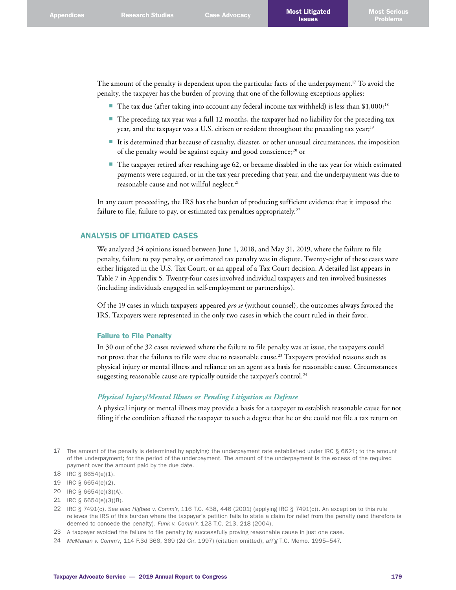The amount of the penalty is dependent upon the particular facts of the underpayment. 17 To avoid the penalty, the taxpayer has the burden of proving that one of the following exceptions applies:

- The tax due (after taking into account any federal income tax withheld) is less than  $$1,000;$ <sup>18</sup>
- The preceding tax year was a full 12 months, the taxpayer had no liability for the preceding tax year, and the taxpayer was a U.S. citizen or resident throughout the preceding tax year;<sup>19</sup>
- It is determined that because of casualty, disaster, or other unusual circumstances, the imposition of the penalty would be against equity and good conscience;<sup>20</sup> or
- The taxpayer retired after reaching age 62, or became disabled in the tax year for which estimated payments were required, or in the tax year preceding that year, and the underpayment was due to reasonable cause and not willful neglect. 21

In any court proceeding, the IRS has the burden of producing sufficient evidence that it imposed the failure to file, failure to pay, or estimated tax penalties appropriately.<sup>22</sup>

## ANALYSIS OF LITIGATED CASES

We analyzed 34 opinions issued between June 1, 2018, and May 31, 2019, where the failure to file penalty, failure to pay penalty, or estimated tax penalty was in dispute. Twenty-eight of these cases were either litigated in the U.S. Tax Court, or an appeal of a Tax Court decision. A detailed list appears in Table 7 in Appendix 5. Twenty-four cases involved individual taxpayers and ten involved businesses (including individuals engaged in self-employment or partnerships).

Of the 19 cases in which taxpayers appeared *pro se* (without counsel), the outcomes always favored the IRS. Taxpayers were represented in the only two cases in which the court ruled in their favor.

### Failure to File Penalty

In 30 out of the 32 cases reviewed where the failure to file penalty was at issue, the taxpayers could not prove that the failures to file were due to reasonable cause. 23 Taxpayers provided reasons such as physical injury or mental illness and reliance on an agent as a basis for reasonable cause. Circumstances suggesting reasonable cause are typically outside the taxpayer's control.<sup>24</sup>

# *Physical Injury/Mental Illness or Pending Litigation as Defense*

A physical injury or mental illness may provide a basis for a taxpayer to establish reasonable cause for not filing if the condition affected the taxpayer to such a degree that he or she could not file a tax return on

<sup>17</sup> The amount of the penalty is determined by applying: the underpayment rate established under IRC § 6621; to the amount of the underpayment; for the period of the underpayment. The amount of the underpayment is the excess of the required payment over the amount paid by the due date.

<sup>18</sup> IRC § 6654(e)(1).

<sup>19</sup> IRC § 6654(e)(2).

<sup>20</sup> IRC § 6654(e)(3)(A).

<sup>21</sup> IRC § 6654(e)(3)(B).

<sup>22</sup> IRC § 7491(c). *See also Higbee v. Comm'r*, 116 T.C. 438, 446 (2001) (applying IRC § 7491(c)). An exception to this rule relieves the IRS of this burden where the taxpayer's petition fails to state a claim for relief from the penalty (and therefore is deemed to concede the penalty). *Funk v. Comm'r*, 123 T.C. 213, 218 (2004).

<sup>23</sup> A taxpayer avoided the failure to file penalty by successfully proving reasonable cause in just one case.

<sup>24</sup> *McMahan v. Comm'r*, 114 F.3d 366, 369 (2d Cir. 1997) (citation omitted), *aff'g* T.C. Memo. 1995–547.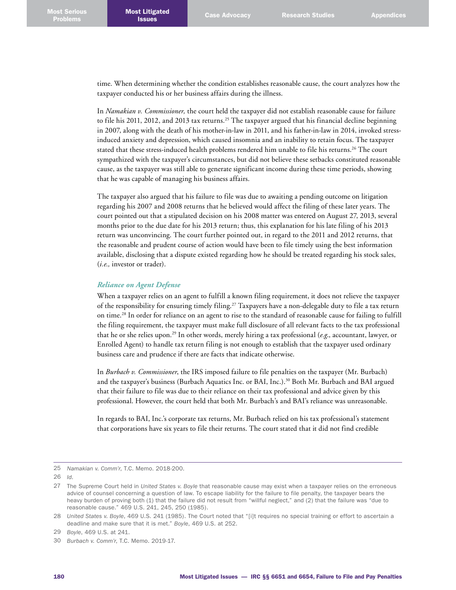time. When determining whether the condition establishes reasonable cause, the court analyzes how the taxpayer conducted his or her business affairs during the illness.

In *Namakian v. Commissioner,* the court held the taxpayer did not establish reasonable cause for failure to file his 2011, 2012, and 2013 tax returns.<sup>25</sup> The taxpayer argued that his financial decline beginning in 2007, along with the death of his mother-in-law in 2011, and his father-in-law in 2014, invoked stressinduced anxiety and depression, which caused insomnia and an inability to retain focus. The taxpayer stated that these stress-induced health problems rendered him unable to file his returns. 26 The court sympathized with the taxpayer's circumstances, but did not believe these setbacks constituted reasonable cause, as the taxpayer was still able to generate significant income during these time periods, showing that he was capable of managing his business affairs.

The taxpayer also argued that his failure to file was due to awaiting a pending outcome on litigation regarding his 2007 and 2008 returns that he believed would affect the filing of these later years. The court pointed out that a stipulated decision on his 2008 matter was entered on August 27, 2013, several months prior to the due date for his 2013 return; thus, this explanation for his late filing of his 2013 return was unconvincing. The court further pointed out, in regard to the 2011 and 2012 returns, that the reasonable and prudent course of action would have been to file timely using the best information available, disclosing that a dispute existed regarding how he should be treated regarding his stock sales, (*i.e.,* investor or trader).

#### *Reliance on Agent Defense*

When a taxpayer relies on an agent to fulfill a known filing requirement, it does not relieve the taxpayer of the responsibility for ensuring timely filing. 27 Taxpayers have a non-delegable duty to file a tax return on time. 28 In order for reliance on an agent to rise to the standard of reasonable cause for failing to fulfill the filing requirement, the taxpayer must make full disclosure of all relevant facts to the tax professional that he or she relies upon. 29 In other words, merely hiring a tax professional (*e.g*., accountant, lawyer, or Enrolled Agent) to handle tax return filing is not enough to establish that the taxpayer used ordinary business care and prudence if there are facts that indicate otherwise.

In *Burbach v. Commissioner*, the IRS imposed failure to file penalties on the taxpayer (Mr. Burbach) and the taxpayer's business (Burbach Aquatics Inc. or BAI, Inc.). 30 Both Mr. Burbach and BAI argued that their failure to file was due to their reliance on their tax professional and advice given by this professional. However, the court held that both Mr. Burbach's and BAI's reliance was unreasonable.

In regards to BAI, Inc.'s corporate tax returns, Mr. Burbach relied on his tax professional's statement that corporations have six years to file their returns. The court stated that it did not find credible

<sup>25</sup> *Namakian v. Comm'r*, T.C. Memo. 2018-200.

<sup>26</sup> *Id*.

<sup>27</sup> The Supreme Court held in *United States v. Boyle* that reasonable cause may exist when a taxpayer relies on the erroneous advice of counsel concerning a question of law. To escape liability for the failure to file penalty, the taxpayer bears the heavy burden of proving both (1) that the failure did not result from "willful neglect," and (2) that the failure was "due to reasonable cause." 469 U.S. 241, 245, 250 (1985).

<sup>28</sup> *United States v. Boyle*, 469 U.S. 241 (1985). The Court noted that "[i]t requires no special training or effort to ascertain a deadline and make sure that it is met." *Boyle*, 469 U.S. at 252.

<sup>29</sup> *Boyle*, 469 U.S. at 241.

<sup>30</sup> *Burbach v. Comm'r*, T.C. Memo. 2019-17.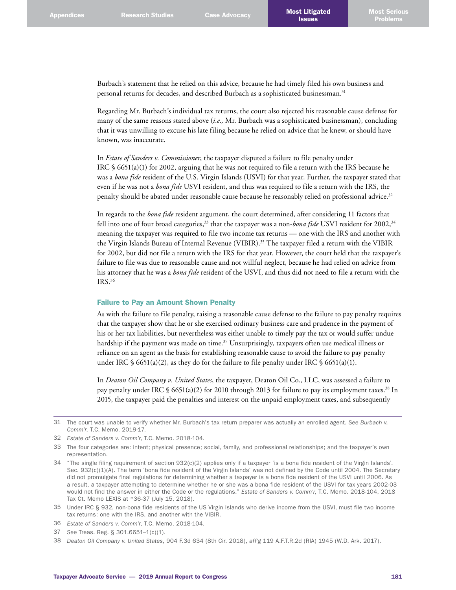Burbach's statement that he relied on this advice, because he had timely filed his own business and personal returns for decades, and described Burbach as a sophisticated businessman. 31

Regarding Mr. Burbach's individual tax returns, the court also rejected his reasonable cause defense for many of the same reasons stated above (*i.e.,* Mr. Burbach was a sophisticated businessman), concluding that it was unwilling to excuse his late filing because he relied on advice that he knew, or should have known, was inaccurate.

In *Estate of Sanders v. Commissioner*, the taxpayer disputed a failure to file penalty under IRC § 6651(a)(1) for 2002, arguing that he was not required to file a return with the IRS because he was a *bona fide* resident of the U.S. Virgin Islands (USVI) for that year. Further, the taxpayer stated that even if he was not a *bona fide* USVI resident, and thus was required to file a return with the IRS, the penalty should be abated under reasonable cause because he reasonably relied on professional advice. 32

In regards to the *bona fide* resident argument, the court determined, after considering 11 factors that fell into one of four broad categories,33 that the taxpayer was a non-*bona fide* USVI resident for 2002,34 meaning the taxpayer was required to file two income tax returns — one with the IRS and another with the Virgin Islands Bureau of Internal Revenue (VIBIR). 35 The taxpayer filed a return with the VIBIR for 2002, but did not file a return with the IRS for that year. However, the court held that the taxpayer's failure to file was due to reasonable cause and not willful neglect, because he had relied on advice from his attorney that he was a *bona fide* resident of the USVI, and thus did not need to file a return with the IRS. 36

### Failure to Pay an Amount Shown Penalty

As with the failure to file penalty, raising a reasonable cause defense to the failure to pay penalty requires that the taxpayer show that he or she exercised ordinary business care and prudence in the payment of his or her tax liabilities, but nevertheless was either unable to timely pay the tax or would suffer undue hardship if the payment was made on time. 37 Unsurprisingly, taxpayers often use medical illness or reliance on an agent as the basis for establishing reasonable cause to avoid the failure to pay penalty under IRC § 6651(a)(2), as they do for the failure to file penalty under IRC § 6651(a)(1).

In *Deaton Oil Company v. United States*, the taxpayer, Deaton Oil Co., LLC, was assessed a failure to pay penalty under IRC § 6651(a)(2) for 2010 through 2013 for failure to pay its employment taxes. 38 In 2015, the taxpayer paid the penalties and interest on the unpaid employment taxes, and subsequently

37 *See* Treas. Reg. § 301.6651–1(c)(1).

<sup>31</sup> The court was unable to verify whether Mr. Burbach's tax return preparer was actually an enrolled agent. *See Burbach v. Comm'r*, T.C. Memo. 2019-17.

<sup>32</sup> *Estate of Sanders v. Comm'r*, T.C. Memo. 2018-104.

<sup>33</sup> The four categories are: intent; physical presence; social, family, and professional relationships; and the taxpayer's own representation.

<sup>34</sup> "The single filing requirement of section 932(c)(2) applies only if a taxpayer 'is a bona fide resident of the Virgin Islands'. Sec. 932(c)(1)(A). The term 'bona fide resident of the Virgin Islands' was not defined by the Code until 2004. The Secretary did not promulgate final regulations for determining whether a taxpayer is a bona fide resident of the USVI until 2006. As a result, a taxpayer attempting to determine whether he or she was a bona fide resident of the USVI for tax years 2002-03 would not find the answer in either the Code or the regulations." *Estate of Sanders v. Comm'r*, T.C. Memo. 2018-104, 2018 Tax Ct. Memo LEXIS at \*36-37 (July 15, 2018).

<sup>35</sup> Under IRC § 932, non-bona fide residents of the US Virgin Islands who derive income from the USVI, must file two income tax returns: one with the IRS, and another with the VIBIR.

<sup>36</sup> *Estate of Sanders v. Comm'r*, T.C. Memo. 2018-104.

<sup>38</sup> *Deaton Oil Company v. United States*, 904 F.3d 634 (8th Cir. 2018), *aff'g* 119 A.F.T.R.2d (RIA) 1945 (W.D. Ark. 2017).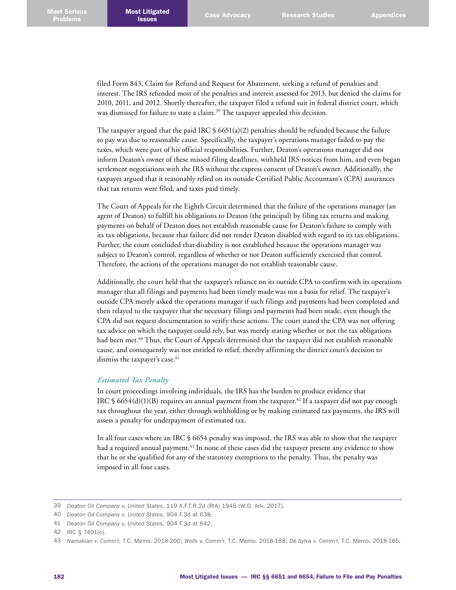filed Form 843, Claim for Refund and Request for Abatement*,* seeking a refund of penalties and interest. The IRS refunded most of the penalties and interest assessed for 2013, but denied the claims for 2010, 2011, and 2012. Shortly thereafter, the taxpayer filed a refund suit in federal district court, which was dismissed for failure to state a claim. 39 The taxpayer appealed this decision.

The taxpayer argued that the paid IRC  $\frac{6651(a)(2)}{2}$  penalties should be refunded because the failure to pay was due to reasonable cause. Specifically, the taxpayer's operations manager failed to pay the taxes, which were part of his official responsibilities. Further, Deaton's operations manager did not inform Deaton's owner of these missed filing deadlines, withheld IRS notices from him, and even began settlement negotiations with the IRS without the express consent of Deaton's owner. Additionally, the taxpayer argued that it reasonably relied on its outside Certified Public Accountant's (CPA) assurances that tax returns were filed, and taxes paid timely.

The Court of Appeals for the Eighth Circuit determined that the failure of the operations manager (an agent of Deaton) to fulfill his obligations to Deaton (the principal) by filing tax returns and making payments on behalf of Deaton does not establish reasonable cause for Deaton's failure to comply with its tax obligations, because that failure did not render Deaton disabled with regard to its tax obligations. Further, the court concluded that disability is not established because the operations manager was subject to Deaton's control, regardless of whether or not Deaton sufficiently exercised that control. Therefore, the actions of the operations manager do not establish reasonable cause.

Additionally, the court held that the taxpayer's reliance on its outside CPA to confirm with its operations manager that all filings and payments had been timely made was not a basis for relief. The taxpayer's outside CPA merely asked the operations manager if such filings and payments had been completed and then relayed to the taxpayer that the necessary filings and payments had been made, even though the CPA did not request documentation to verify these actions. The court stated the CPA was not offering tax advice on which the taxpayer could rely, but was merely stating whether or not the tax obligations had been met. 40 Thus, the Court of Appeals determined that the taxpayer did not establish reasonable cause, and consequently was not entitled to relief, thereby affirming the district court's decision to dismiss the taxpayer's case. 41

## *Estimated Tax Penalty*

In court proceedings involving individuals, the IRS has the burden to produce evidence that IRC § 6654(d)(1)(B) requires an annual payment from the taxpayer.<sup>42</sup> If a taxpayer did not pay enough tax throughout the year, either through withholding or by making estimated tax payments, the IRS will assess a penalty for underpayment of estimated tax.

In all four cases where an IRC § 6654 penalty was imposed, the IRS was able to show that the taxpayer had a required annual payment. 43 In none of these cases did the taxpayer present any evidence to show that he or she qualified for any of the statutory exemptions to the penalty. Thus, the penalty was imposed in all four cases.

<sup>39</sup> *Deaton Oil Company v. United States*, 119 A.F.T.R.2d (RIA) 1945 (W.D. Ark. 2017).

<sup>40</sup> *Deaton Oil Company v. United States*, 904 F.3d at 638.

<sup>41</sup> *Deaton Oil Company v. United States*, 904 F.3d at 642.

<sup>42</sup> IRC § 7491(c).

<sup>43</sup> *Namakian v. Comm'r*, T.C. Memo. 2018-200; *Wells v. Comm'r*, T.C. Memo. 2018-188; *De Sylva v. Comm'r*, T.C. Memo. 2018-165.